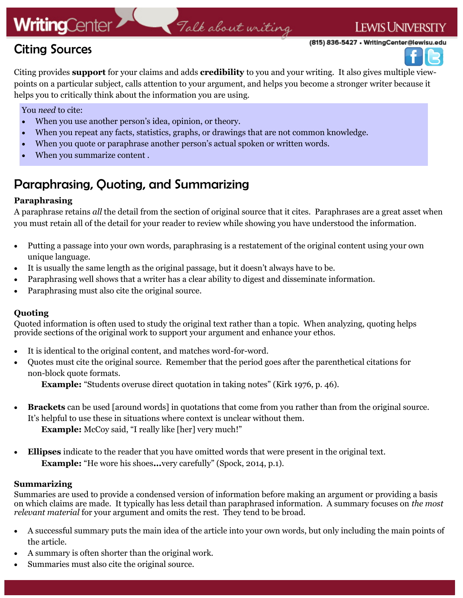# **WritingCenter**

# Talk about writing

(815) 836-5427 • WritingCenter@lewisu.edu

**LEWIS UNIVERSITY** 



Citing provides **support** for your claims and adds **credibility** to you and your writing. It also gives multiple viewpoints on a particular subject, calls attention to your argument, and helps you become a stronger writer because it helps you to critically think about the information you are using.

You *need* to cite:

Citing Sources

- When you use another person's idea, opinion, or theory.
- When you repeat any facts, statistics, graphs, or drawings that are not common knowledge.
- When you quote or paraphrase another person's actual spoken or written words.
- When you summarize content .

## Paraphrasing, Quoting, and Summarizing

## **Paraphrasing**

A paraphrase retains *all* the detail from the section of original source that it cites. Paraphrases are a great asset when you must retain all of the detail for your reader to review while showing you have understood the information.

- Putting a passage into your own words, paraphrasing is a restatement of the original content using your own unique language.
- It is usually the same length as the original passage, but it doesn't always have to be.
- Paraphrasing well shows that a writer has a clear ability to digest and disseminate information.
- Paraphrasing must also cite the original source.

## **Quoting**

Quoted information is often used to study the original text rather than a topic. When analyzing, quoting helps provide sections of the original work to support your argument and enhance your ethos.

- It is identical to the original content, and matches word-for-word.
- Quotes must cite the original source. Remember that the period goes after the parenthetical citations for non-block quote formats.

**Example:** "Students overuse direct quotation in taking notes" (Kirk 1976, p. 46).

- **Brackets** can be used [around words] in quotations that come from you rather than from the original source. It's helpful to use these in situations where context is unclear without them. **Example:** McCoy said, "I really like [her] very much!"
- **Ellipses** indicate to the reader that you have omitted words that were present in the original text. **Example:** "He wore his shoes**...**very carefully" (Spock, 2014, p.1).

## **Summarizing**

Summaries are used to provide a condensed version of information before making an argument or providing a basis on which claims are made. It typically has less detail than paraphrased information. A summary focuses on *the most relevant material* for your argument and omits the rest. They tend to be broad.

- A successful summary puts the main idea of the article into your own words, but only including the main points of the article.
- A summary is often shorter than the original work.
- Summaries must also cite the original source.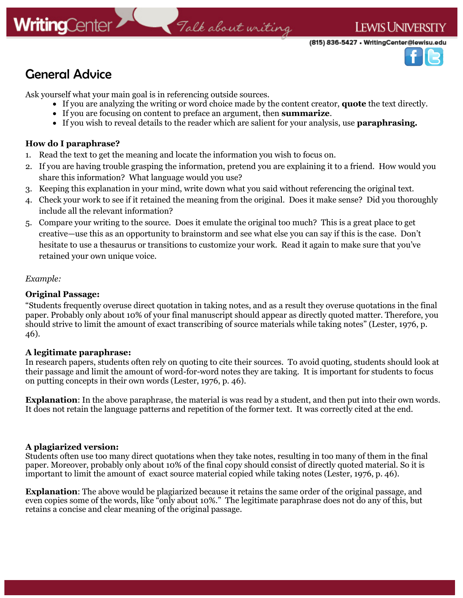

## General Advice

Ask yourself what your main goal is in referencing outside sources.

- If you are analyzing the writing or word choice made by the content creator, **quote** the text directly.
- If you are focusing on content to preface an argument, then **summarize**.
- If you wish to reveal details to the reader which are salient for your analysis, use **paraphrasing.**

## **How do I paraphrase?**

- 1. Read the text to get the meaning and locate the information you wish to focus on.
- 2. If you are having trouble grasping the information, pretend you are explaining it to a friend. How would you share this information? What language would you use?
- 3. Keeping this explanation in your mind, write down what you said without referencing the original text.
- 4. Check your work to see if it retained the meaning from the original. Does it make sense? Did you thoroughly include all the relevant information?
- 5. Compare your writing to the source. Does it emulate the original too much? This is a great place to get creative—use this as an opportunity to brainstorm and see what else you can say if this is the case. Don't hesitate to use a thesaurus or transitions to customize your work. Read it again to make sure that you've retained your own unique voice.

### *Example:*

## **Original Passage:**

"Students frequently overuse direct quotation in taking notes, and as a result they overuse quotations in the final paper. Probably only about 10% of your final manuscript should appear as directly quoted matter. Therefore, you should strive to limit the amount of exact transcribing of source materials while taking notes" (Lester, 1976, p. 46).

### **A legitimate paraphrase:**

In research papers, students often rely on quoting to cite their sources. To avoid quoting, students should look at their passage and limit the amount of word-for-word notes they are taking. It is important for students to focus on putting concepts in their own words (Lester, 1976, p. 46).

**Explanation**: In the above paraphrase, the material is was read by a student, and then put into their own words. It does not retain the language patterns and repetition of the former text. It was correctly cited at the end.

### **A plagiarized version:**

Students often use too many direct quotations when they take notes, resulting in too many of them in the final paper. Moreover, probably only about 10% of the final copy should consist of directly quoted material. So it is important to limit the amount of exact source material copied while taking notes (Lester, 1976, p. 46).

**Explanation**: The above would be plagiarized because it retains the same order of the original passage, and even copies some of the words, like "only about 10%." The legitimate paraphrase does not do any of this, but retains a concise and clear meaning of the original passage.